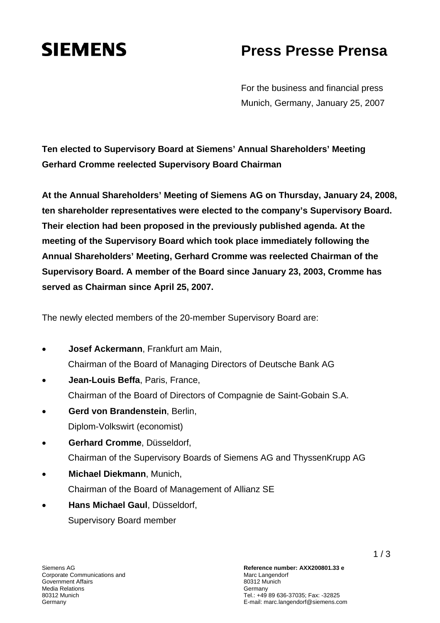## **SIEMENS** Press Presse Prensa

For the business and financial press Munich, Germany, January 25, 2007

**Ten elected to Supervisory Board at Siemens' Annual Shareholders' Meeting Gerhard Cromme reelected Supervisory Board Chairman** 

**At the Annual Shareholders' Meeting of Siemens AG on Thursday, January 24, 2008, ten shareholder representatives were elected to the company's Supervisory Board. Their election had been proposed in the previously published agenda. At the meeting of the Supervisory Board which took place immediately following the Annual Shareholders' Meeting, Gerhard Cromme was reelected Chairman of the Supervisory Board. A member of the Board since January 23, 2003, Cromme has served as Chairman since April 25, 2007.** 

The newly elected members of the 20-member Supervisory Board are:

- **Josef Ackermann**, Frankfurt am Main, Chairman of the Board of Managing Directors of Deutsche Bank AG
- **Jean-Louis Beffa**, Paris, France, Chairman of the Board of Directors of Compagnie de Saint-Gobain S.A.
- **Gerd von Brandenstein**, Berlin, Diplom-Volkswirt (economist)
- **Gerhard Cromme**, Düsseldorf, Chairman of the Supervisory Boards of Siemens AG and ThyssenKrupp AG
- **Michael Diekmann**, Munich, Chairman of the Board of Management of Allianz SE
- **Hans Michael Gaul**, Düsseldorf, Supervisory Board member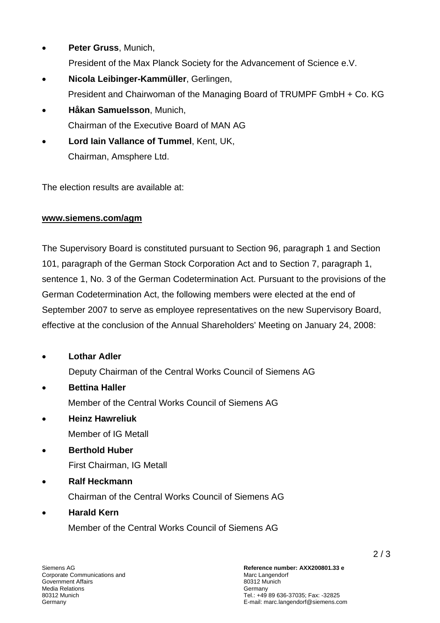- **Peter Gruss**, Munich, President of the Max Planck Society for the Advancement of Science e.V.
- **Nicola Leibinger-Kammüller**, Gerlingen, President and Chairwoman of the Managing Board of TRUMPF GmbH + Co. KG
- **Håkan Samuelsson**, Munich, Chairman of the Executive Board of MAN AG
- **Lord Iain Vallance of Tummel**, Kent, UK, Chairman, Amsphere Ltd.

The election results are available at:

## **www.siemens.com/agm**

The Supervisory Board is constituted pursuant to Section 96, paragraph 1 and Section 101, paragraph of the German Stock Corporation Act and to Section 7, paragraph 1, sentence 1, No. 3 of the German Codetermination Act. Pursuant to the provisions of the German Codetermination Act, the following members were elected at the end of September 2007 to serve as employee representatives on the new Supervisory Board, effective at the conclusion of the Annual Shareholders' Meeting on January 24, 2008:

- **Lothar Adler**  Deputy Chairman of the Central Works Council of Siemens AG
- **Bettina Haller**  Member of the Central Works Council of Siemens AG
- **Heinz Hawreliuk**  Member of IG Metall
- **Berthold Huber**  First Chairman, IG Metall
- **Ralf Heckmann**

Chairman of the Central Works Council of Siemens AG

• **Harald Kern** 

Member of the Central Works Council of Siemens AG

Siemens AG Corporate Communications and Government Affairs Media Relations 80312 Munich **Germany**